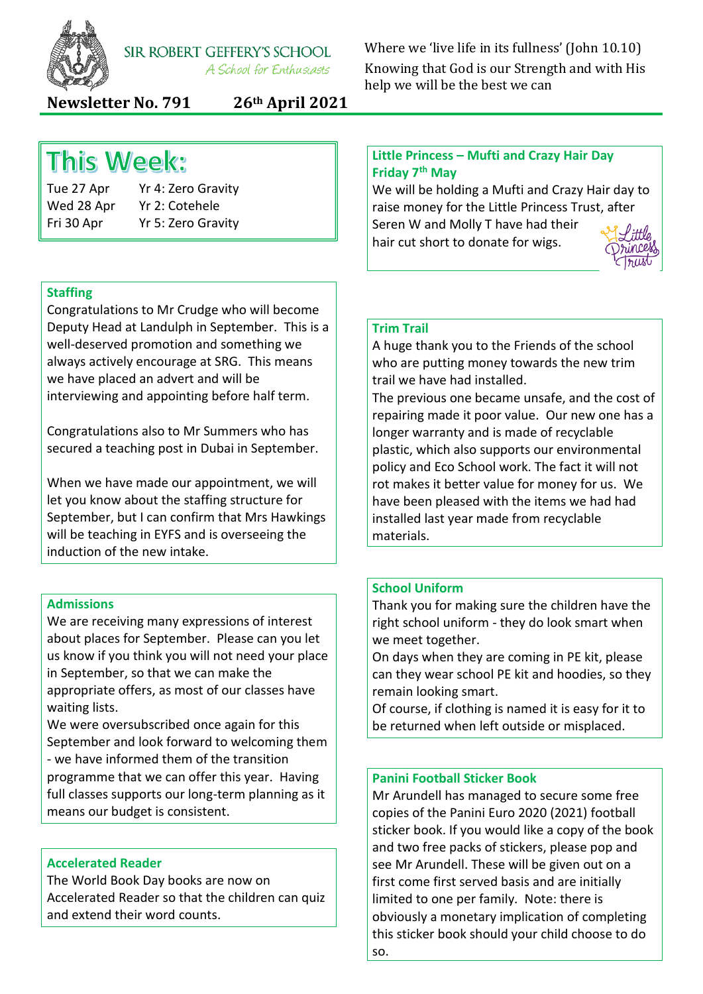

SIR ROBERT GEFFERY'S SCHOOL A School for Enthusiasts

Where we 'live life in its fullness' (John 10.10) Knowing that God is our Strength and with His help we will be the best we can

**Newsletter No. 791 26th April 2021**

## **This Week:**

Tue 27 Apr Yr 4: Zero Gravity Wed 28 Apr Yr 2: Cotehele Fri 30 Apr Yr 5: Zero Gravity

## **Staffing**

Congratulations to Mr Crudge who will become Deputy Head at Landulph in September. This is a well-deserved promotion and something we always actively encourage at SRG. This means we have placed an advert and will be interviewing and appointing before half term.

Congratulations also to Mr Summers who has secured a teaching post in Dubai in September.

When we have made our appointment, we will let you know about the staffing structure for September, but I can confirm that Mrs Hawkings will be teaching in EYFS and is overseeing the induction of the new intake.

## **Admissions**

We are receiving many expressions of interest about places for September. Please can you let us know if you think you will not need your place in September, so that we can make the appropriate offers, as most of our classes have waiting lists.

We were oversubscribed once again for this September and look forward to welcoming them - we have informed them of the transition programme that we can offer this year. Having full classes supports our long-term planning as it means our budget is consistent.

## **Accelerated Reader**

The World Book Day books are now on Accelerated Reader so that the children can quiz and extend their word counts.

## **Little Princess – Mufti and Crazy Hair Day Friday 7th May**

We will be holding a Mufti and Crazy Hair day to raise money for the Little Princess Trust, after Seren W and Molly T have had their

hair cut short to donate for wigs.



## **Trim Trail**

A huge thank you to the Friends of the school who are putting money towards the new trim trail we have had installed.

The previous one became unsafe, and the cost of repairing made it poor value. Our new one has a longer warranty and is made of recyclable plastic, which also supports our environmental policy and Eco School work. The fact it will not rot makes it better value for money for us. We have been pleased with the items we had had installed last year made from recyclable materials.

## **School Uniform**

Thank you for making sure the children have the right school uniform - they do look smart when we meet together.

On days when they are coming in PE kit, please can they wear school PE kit and hoodies, so they remain looking smart.

Of course, if clothing is named it is easy for it to be returned when left outside or misplaced.

#### **Panini Football Sticker Book**

Mr Arundell has managed to secure some free copies of the Panini Euro 2020 (2021) football sticker book. If you would like a copy of the book and two free packs of stickers, please pop and see Mr Arundell. These will be given out on a first come first served basis and are initially limited to one per family. Note: there is obviously a monetary implication of completing this sticker book should your child choose to do so.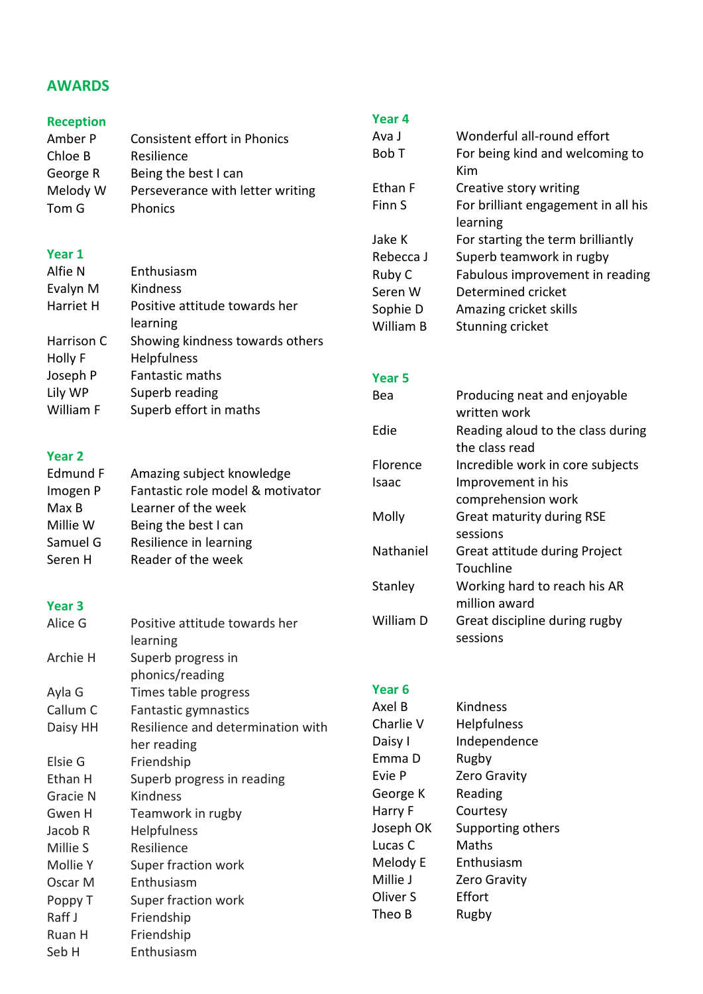## **AWARDS**

# **Reception**

Consistent effort in Phonics Chloe B Resilience George R Being the best I can<br>Melody W Perseverance with le Perseverance with letter writing Tom G Phonics

## **Year 1**

| Alfie N    | Enthusiasm                      |
|------------|---------------------------------|
| Evalyn M   | Kindness                        |
| Harriet H  | Positive attitude towards her   |
|            | learning                        |
| Harrison C | Showing kindness towards others |
| Holly F    | Helpfulness                     |
| Joseph P   | <b>Fantastic maths</b>          |
| Lily WP    | Superb reading                  |
| William F  | Superb effort in maths          |
|            |                                 |

## **Year 2**

| Edmund F | Amazing subject knowledge        |
|----------|----------------------------------|
| Imogen P | Fantastic role model & motivator |
| Max B    | Learner of the week              |
| Millie W | Being the best I can             |
| Samuel G | Resilience in learning           |
| Seren H  | Reader of the week               |

## **Year 3**

| Alice G  | Positive attitude towards her<br>learning |
|----------|-------------------------------------------|
| Archie H | Superb progress in                        |
|          | phonics/reading                           |
| Ayla G   | Times table progress                      |
| Callum C | Fantastic gymnastics                      |
| Daisy HH | Resilience and determination with         |
|          | her reading                               |
| Elsie G  | Friendship                                |
| Ethan H  | Superb progress in reading                |
| Gracie N | Kindness                                  |
| Gwen H   | Teamwork in rugby                         |
| Jacob R  | <b>Helpfulness</b>                        |
| Millie S | Resilience                                |
| Mollie Y | Super fraction work                       |
| Oscar M  | Enthusiasm                                |
| Poppy T  | Super fraction work                       |
| Raff J   | Friendship                                |
| Ruan H   | Friendship                                |
| Seb H    | Enthusiasm                                |
|          |                                           |

## **Year 4**

| Ava J     | Wonderful all-round effort          |
|-----------|-------------------------------------|
| Bob T     | For being kind and welcoming to     |
|           | Kim                                 |
| Ethan F   | Creative story writing              |
| Finn S    | For brilliant engagement in all his |
|           | learning                            |
| Jake K    | For starting the term brilliantly   |
| Rebecca J | Superb teamwork in rugby            |
| Ruby C    | Fabulous improvement in reading     |
| Seren W   | Determined cricket                  |
| Sophie D  | Amazing cricket skills              |
| William B | Stunning cricket                    |
|           |                                     |

## **Year 5**

| Bea       | Producing neat and enjoyable      |
|-----------|-----------------------------------|
|           | written work                      |
| Edie      | Reading aloud to the class during |
|           | the class read                    |
| Florence  | Incredible work in core subjects  |
| Isaac     | Improvement in his                |
|           | comprehension work                |
| Molly     | <b>Great maturity during RSE</b>  |
|           | sessions                          |
| Nathaniel | Great attitude during Project     |
|           | Touchline                         |
| Stanley   | Working hard to reach his AR      |
|           | million award                     |
| William D | Great discipline during rugby     |
|           | sessions                          |

## **Year 6**

| Axel B    | <b>Kindness</b>    |
|-----------|--------------------|
| Charlie V | <b>Helpfulness</b> |
| Daisy I   | Independence       |
| Emma D    | Rugby              |
| Evie P    | Zero Gravity       |
| George K  | Reading            |
| Harry F   | Courtesy           |
| Joseph OK | Supporting others  |
| Lucas C   | Maths              |
| Melody E  | Enthusiasm         |
| Millie J  | Zero Gravity       |
| Oliver S  | Effort             |
| Theo B    | Rugby              |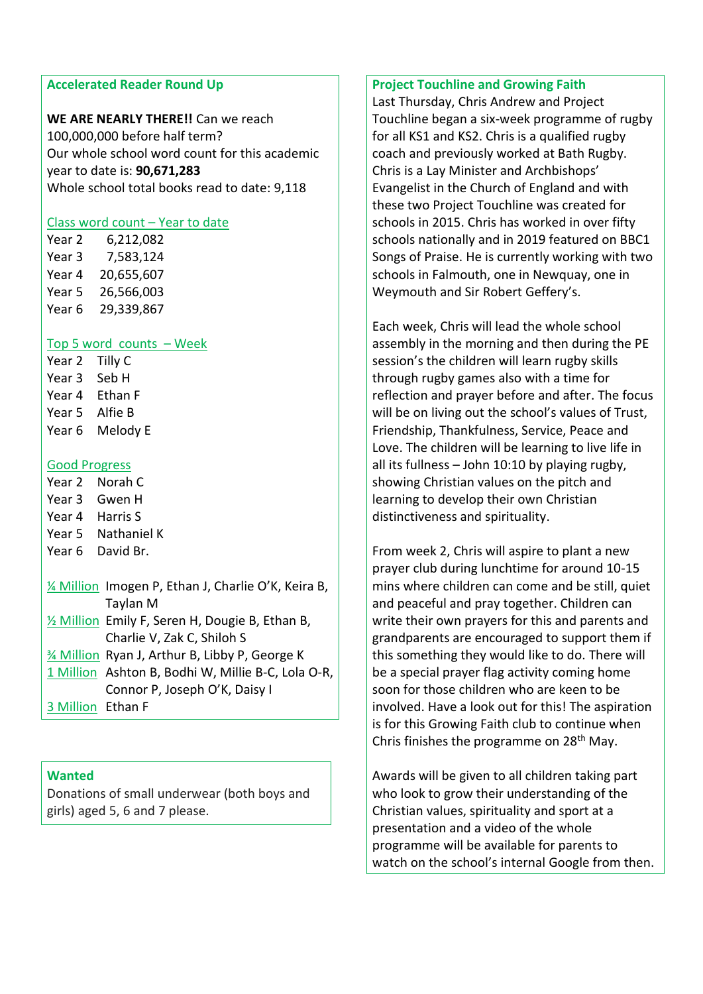#### **Accelerated Reader Round Up**

**WE ARE NEARLY THERE!!** Can we reach 100,000,000 before half term? Our whole school word count for this academic year to date is: **90,671,283** Whole school total books read to date: 9,118

## Class word count - Year to date

Year 2 6,212,082 Year 3 7,583,124 Year 4 20,655,607 Year 5 26,566,003 Year 6 29,339,867

## Top 5 word counts – Week

Year 2 Tilly C Year 3 Seb H Year 4 Ethan F Year 5 Alfie B Year 6 Melody E

## Good Progress

Year 2 Norah C Year 3 Gwen H Year 4 Harris S Year 5 Nathaniel K Year 6 David Br.

¼ Million Imogen P, Ethan J, Charlie O'K, Keira B, Taylan M ½ Million Emily F, Seren H, Dougie B, Ethan B, Charlie V, Zak C, Shiloh S ¾ Million Ryan J, Arthur B, Libby P, George K 1 Million Ashton B, Bodhi W, Millie B-C, Lola O-R, Connor P, Joseph O'K, Daisy I 3 Million Ethan F

**Wanted**

Donations of small underwear (both boys and girls) aged 5, 6 and 7 please.

## **Project Touchline and Growing Faith**

Last Thursday, Chris Andrew and Project Touchline began a six-week programme of rugby for all KS1 and KS2. Chris is a qualified rugby coach and previously worked at Bath Rugby. Chris is a Lay Minister and Archbishops' Evangelist in the Church of England and with these two Project Touchline was created for schools in 2015. Chris has worked in over fifty schools nationally and in 2019 featured on BBC1 Songs of Praise. He is currently working with two schools in Falmouth, one in Newquay, one in Weymouth and Sir Robert Geffery's.

Each week, Chris will lead the whole school assembly in the morning and then during the PE session's the children will learn rugby skills through rugby games also with a time for reflection and prayer before and after. The focus will be on living out the school's values of Trust, Friendship, Thankfulness, Service, Peace and Love. The children will be learning to live life in all its fullness – John 10:10 by playing rugby, showing Christian values on the pitch and learning to develop their own Christian distinctiveness and spirituality.

From week 2, Chris will aspire to plant a new prayer club during lunchtime for around 10-15 mins where children can come and be still, quiet and peaceful and pray together. Children can write their own prayers for this and parents and grandparents are encouraged to support them if this something they would like to do. There will be a special prayer flag activity coming home soon for those children who are keen to be involved. Have a look out for this! The aspiration is for this Growing Faith club to continue when Chris finishes the programme on 28<sup>th</sup> May.

Awards will be given to all children taking part who look to grow their understanding of the Christian values, spirituality and sport at a presentation and a video of the whole programme will be available for parents to watch on the school's internal Google from then.